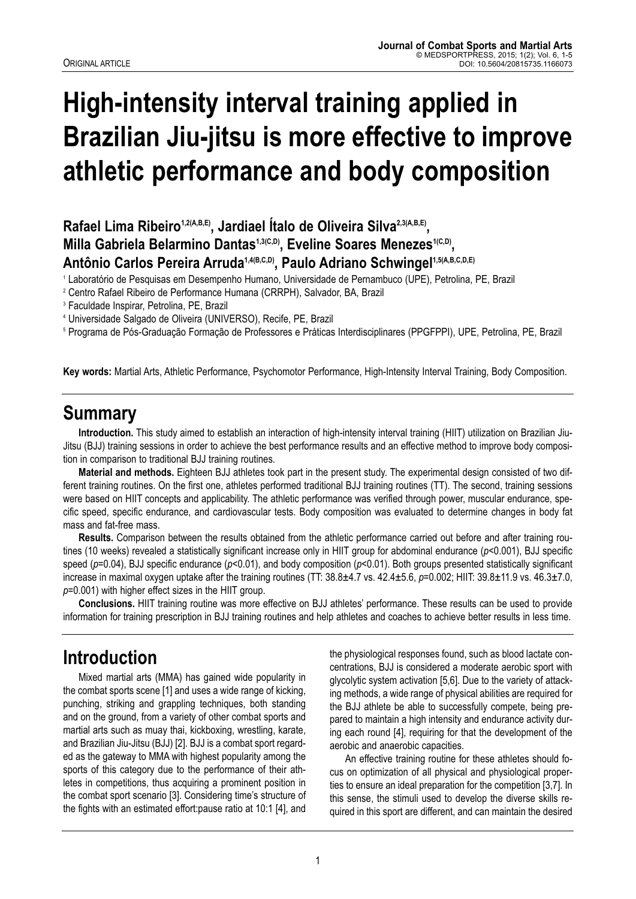# **High-intensity interval training applied in Brazilian Jiu-jitsu is more effective to improve athletic performance and body composition**

Rafael Lima Ribeiro<sup>1,2(A,B,E)</sup>, Jardiael Ítalo de Oliveira Silva<sup>2,3(A,B,E)</sup>. Milla Gabriela Belarmino Dantas<sup>1,3(C,D)</sup>, Eveline Soares Menezes<sup>1(C,D)</sup>, Antônio Carlos Pereira Arruda<sup>1,4(B,C,D)</sup>, Paulo Adriano Schwingel<sup>1,5(A,B,C,D,E)</sup>

<sup>1</sup> Laboratório de Pesquisas em Desempenho Humano, Universidade de Pernambuco (UPE), Petrolina, PE, Brazil

<sup>2</sup> Centro Rafael Ribeiro de Performance Humana (CRRPH), Salvador, BA, Brazil

<sup>3</sup> Faculdade Inspirar, Petrolina, PE, Brazil

<sup>4</sup> Universidade Salgado de Oliveira (UNIVERSO), Recife, PE, Brazil

<sup>5</sup> Programa de Pós-Graduação Formação de Professores e Práticas Interdisciplinares (PPGFPPI), UPE, Petrolina, PE, Brazil

**Key words:** Martial Arts, Athletic Performance, Psychomotor Performance, High-Intensity Interval Training, Body Composition.

### **Summary**

**Introduction.** This study aimed to establish an interaction of high-intensity interval training (HIIT) utilization on Brazilian Jiu-Jitsu (BJJ) training sessions in order to achieve the best performance results and an effective method to improve body composition in comparison to traditional BJJ training routines.

**Material and methods.** Eighteen BJJ athletes took part in the present study. The experimental design consisted of two different training routines. On the first one, athletes performed traditional BJJ training routines (TT). The second, training sessions were based on HIIT concepts and applicability. The athletic performance was verified through power, muscular endurance, specific speed, specific endurance, and cardiovascular tests. Body composition was evaluated to determine changes in body fat mass and fat-free mass.

**Results.** Comparison between the results obtained from the athletic performance carried out before and after training routines (10 weeks) revealed a statistically significant increase only in HIIT group for abdominal endurance (*p*<0.001), BJJ specific speed ( $p=0.04$ ), BJJ specific endurance ( $p<0.01$ ), and body composition ( $p<0.01$ ). Both groups presented statistically significant increase in maximal oxygen uptake after the training routines (TT: 38.8±4.7 vs. 42.4±5.6, *p*=0.002; HIIT: 39.8±11.9 vs. 46.3±7.0, *p*=0.001) with higher effect sizes in the HIIT group.

**Conclusions.** HIIT training routine was more effective on BJJ athletes' performance. These results can be used to provide information for training prescription in BJJ training routines and help athletes and coaches to achieve better results in less time.

# **Introduction**

Mixed martial arts (MMA) has gained wide popularity in the combat sports scene [1] and uses a wide range of kicking, punching, striking and grappling techniques, both standing and on the ground, from a variety of other combat sports and martial arts such as muay thai, kickboxing, wrestling, karate, and Brazilian Jiu-Jitsu (BJJ) [2]. BJJ is a combat sport regarded as the gateway to MMA with highest popularity among the sports of this category due to the performance of their athletes in competitions, thus acquiring a prominent position in the combat sport scenario [3]. Considering time's structure of the fights with an estimated effort:pause ratio at 10:1 [4], and

the physiological responses found, such as blood lactate concentrations, BJJ is considered a moderate aerobic sport with glycolytic system activation [5,6]. Due to the variety of attacking methods, a wide range of physical abilities are required for the BJJ athlete be able to successfully compete, being prepared to maintain a high intensity and endurance activity during each round [4], requiring for that the development of the aerobic and anaerobic capacities.

An effective training routine for these athletes should focus on optimization of all physical and physiological properties to ensure an ideal preparation for the competition [3,7]. In this sense, the stimuli used to develop the diverse skills re quired in this sport are different, and can maintain the desired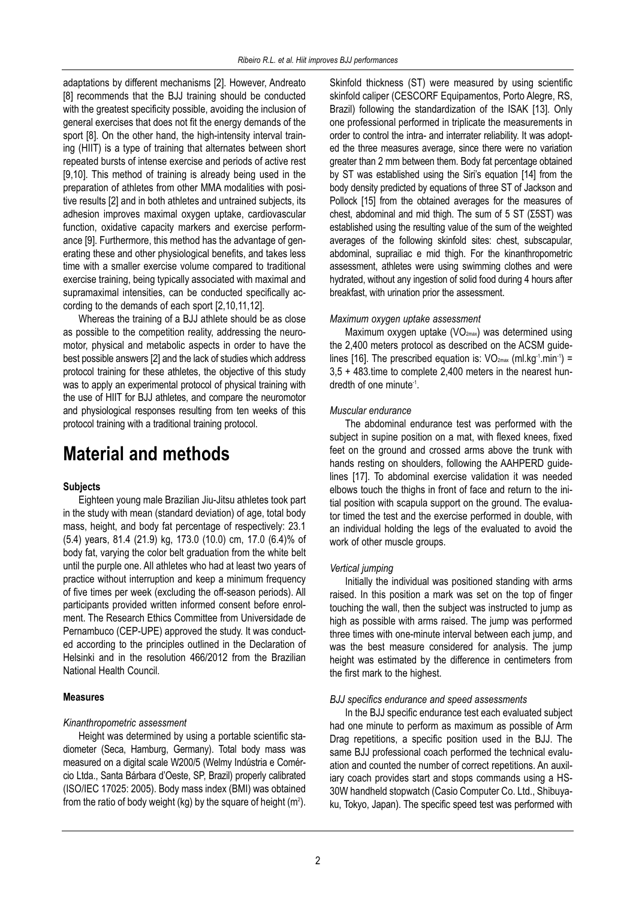adaptations by different mechanisms [2]. However, Andreato [8] recommends that the BJJ training should be conducted with the greatest specificity possible, avoiding the inclusion of general exercises that does not fit the energy demands of the sport [8]. On the other hand, the high-intensity interval training (HIIT) is a type of training that alternates between short repeated bursts of intense exercise and periods of active rest [9,10]. This method of training is already being used in the preparation of athletes from other MMA modalities with positive results [2] and in both athletes and untrained subjects, its adhesion improves maximal oxygen uptake, cardiovascular function, oxidative capacity markers and exercise performance [9]. Furthermore, this method has the advantage of generating these and other physiological benefits, and takes less time with a smaller exercise volume compared to traditional exercise training, being typically associated with maximal and supramaximal intensities, can be conducted specifically according to the demands of each sport [2,10,11,12].

Whereas the training of a BJJ athlete should be as close as possible to the competition reality, addressing the neuromotor, physical and metabolic aspects in order to have the best possible answers [2] and the lack of studies which address protocol training for these athletes, the objective of this study was to apply an experimental protocol of physical training with the use of HIIT for BJJ athletes, and compare the neuromotor and physiological responses resulting from ten weeks of this protocol training with a traditional training protocol.

# **Material and methods**

#### **Subjects**

Eighteen young male Brazilian Jiu-Jitsu athletes took part in the study with mean (standard deviation) of age, total body mass, height, and body fat percentage of respectively: 23.1 (5.4) years, 81.4 (21.9) kg, 173.0 (10.0) cm, 17.0 (6.4)% of body fat, varying the color belt graduation from the white belt until the purple one. All athletes who had at least two years of practice without interruption and keep a minimum frequency of five times per week (excluding the off-season periods). All participants provided written informed consent before enrolment. The Research Ethics Committee from Universidade de Pernambuco (CEP-UPE) approved the study. It was conducted according to the principles outlined in the Declaration of Helsinki and in the resolution 466/2012 from the Brazilian National Health Council.

#### **Measures**

#### *Kinanthropometric assessment*

Height was determined by using a portable scientific stadiometer (Seca, Hamburg, Germany). Total body mass was measured on a digital scale W200/5 (Welmy Indústria e Comér cio Ltda., Santa Bárbara d'Oeste, SP, Brazil) properly calibrated (ISO/IEC 17025: 2005). Body mass index (BMI) was obtained from the ratio of body weight (kg) by the square of height (m²).

Skinfold thickness (ST) were measured by using scientific skinfold caliper (CESCORF Equipamentos, Porto Alegre, RS, Brazil) following the standardization of the ISAK [13]. Only one professional performed in triplicate the measurements in order to control the intra- and interrater reliability. It was adopted the three measures average, since there were no variation greater than 2 mm between them. Body fat percentage obtained by ST was established using the Siri's equation [14] from the body density predicted by equations of three ST of Jackson and Pollock [15] from the obtained averages for the measures of chest, abdominal and mid thigh. The sum of 5 ST (Σ5ST) was established using the resulting value of the sum of the weighted averages of the following skinfold sites: chest, subscapular, abdominal, suprailiac e mid thigh. For the kinanthropometric assessment, athletes were using swimming clothes and were hydrated, without any ingestion of solid food during 4 hours after breakfast, with urination prior the assessment.

#### *Maximum oxygen uptake assessment*

Maximum oxygen uptake (VO<sub>2max</sub>) was determined using the 2,400 meters protocol as described on the ACSM guidelines [16]. The prescribed equation is:  $VO<sub>2max</sub>$  (ml.kg<sup>-1</sup>.min<sup>-1</sup>) = 3,5 + 483.time to complete 2,400 meters in the nearest hundredth of one minute-1.

#### *Muscular endurance*

The abdominal endurance test was performed with the subject in supine position on a mat, with flexed knees, fixed feet on the ground and crossed arms above the trunk with hands resting on shoulders, following the AAHPERD guidelines [17]. To abdominal exercise validation it was needed elbows touch the thighs in front of face and return to the initial position with scapula support on the ground. The evaluator timed the test and the exercise performed in double, with an individual holding the legs of the evaluated to avoid the work of other muscle groups.

#### *Vertical jumping*

Initially the individual was positioned standing with arms raised. In this position a mark was set on the top of finger touching the wall, then the subject was instructed to jump as high as possible with arms raised. The jump was performed three times with one-minute interval between each jump, and was the best measure considered for analysis. The jump height was estimated by the difference in centimeters from the first mark to the highest.

#### *BJJ specifics endurance and speed assessments*

In the BJJ specific endurance test each evaluated subject had one minute to perform as maximum as possible of Arm Drag repetitions, a specific position used in the BJJ. The same BJJ professional coach performed the technical evaluation and counted the number of correct repetitions. An auxiliary coach provides start and stops commands using a HS-30W handheld stopwatch (Casio Computer Co. Ltd., Shibuyaku, Tokyo, Japan). The specific speed test was performed with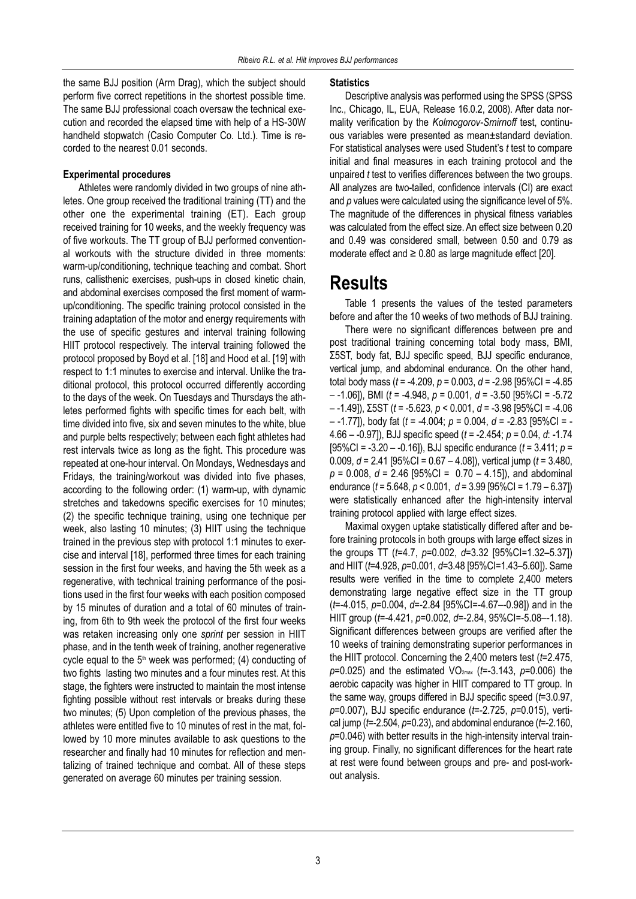the same BJJ position (Arm Drag), which the subject should perform five correct repetitions in the shortest possible time. The same BJJ professional coach oversaw the technical execution and recorded the elapsed time with help of a HS-30W handheld stopwatch (Casio Computer Co. Ltd.). Time is recorded to the nearest 0.01 seconds.

#### **Experimental procedures**

Athletes were randomly divided in two groups of nine athletes. One group received the traditional training (TT) and the other one the experimental training (ET). Each group received training for 10 weeks, and the weekly frequency was of five workouts. The TT group of BJJ performed conventional workouts with the structure divided in three moments: warm-up/conditioning, technique teaching and combat. Short runs, callisthenic exercises, push-ups in closed kinetic chain, and abdominal exercises composed the first moment of warmup/conditioning. The specific training protocol consisted in the training adaptation of the motor and energy requirements with the use of specific gestures and interval training following HIIT protocol respectively. The interval training followed the protocol proposed by Boyd et al. [18] and Hood et al. [19] with respect to 1:1 minutes to exercise and interval. Unlike the traditional protocol, this protocol occurred differently according to the days of the week. On Tuesdays and Thursdays the athletes performed fights with specific times for each belt, with time divided into five, six and seven minutes to the white, blue and purple belts respectively; between each fight athletes had rest intervals twice as long as the fight. This procedure was repeated at one-hour interval. On Mondays, Wednesdays and Fridays, the training/workout was divided into five phases, according to the following order: (1) warm-up, with dynamic stretches and takedowns specific exercises for 10 minutes; (2) the specific technique training, using one technique per week, also lasting 10 minutes; (3) HIIT using the technique trained in the previous step with protocol 1:1 minutes to exercise and interval [18], performed three times for each training session in the first four weeks, and having the 5th week as a regenerative, with technical training performance of the positions used in the first four weeks with each position composed by 15 minutes of duration and a total of 60 minutes of training, from 6th to 9th week the protocol of the first four weeks was retaken increasing only one *sprint* per session in HIIT phase, and in the tenth week of training, another regenerative cycle equal to the  $5<sup>th</sup>$  week was performed; (4) conducting of two fights lasting two minutes and a four minutes rest. At this stage, the fighters were instructed to maintain the most intense fighting possible without rest intervals or breaks during these two minutes; (5) Upon completion of the previous phases, the athletes were entitled five to 10 minutes of rest in the mat, followed by 10 more minutes available to ask questions to the researcher and finally had 10 minutes for reflection and mentalizing of trained technique and combat. All of these steps generated on average 60 minutes per training session.

#### **Statistics**

Descriptive analysis was performed using the SPSS (SPSS Inc., Chicago, IL, EUA, Release 16.0.2, 2008). After data normality verification by the *Kolmogorov-Smirnoff* test, continuous variables were presented as mean±standard deviation. For statistical analyses were used Student's *t* test to compare initial and final measures in each training protocol and the unpaired *t* test to verifies differences between the two groups. All analyzes are two-tailed, confidence intervals (CI) are exact and *p* values were calculated using the significance level of 5%. The magnitude of the differences in physical fitness variables was calculated from the effect size. An effect size between 0.20 and 0.49 was considered small, between 0.50 and 0.79 as moderate effect and  $\geq 0.80$  as large magnitude effect [20].

### **Results**

Table 1 presents the values of the tested parameters before and after the 10 weeks of two methods of BJJ training.

There were no significant differences between pre and post traditional training concerning total body mass, BMI, Σ5ST, body fat, BJJ specific speed, BJJ specific endurance, vertical jump, and abdominal endurance. On the other hand, total body mass (*t* = -4.209, *p* = 0.003, *d* = -2.98 [95%CI = -4.85 – -1.06]), BMI (*t* = -4.948, *p* = 0.001, *d* = -3.50 [95%CI = -5.72 – -1.49]), Σ5ST (*t* = -5.623, *p* < 0.001, *d* = -3.98 [95%CI = -4.06 – -1.77]), body fat (*t* = -4.004; *p* = 0.004, *d* = -2.83 [95%CI = - 4.66 – -0.97]), BJJ specific speed (*t* = -2.454; *p* = 0.04, *d*: -1.74 [95%CI = -3.20 – -0.16]), BJJ specific endurance (*t* = 3.411; *p* = 0.009, *d* = 2.41 [95%CI = 0.67 – 4.08]), vertical jump (*t* = 3.480, *p* = 0.008, *d* = 2.46 [95%CI = 0.70 – 4.15]), and abdominal endurance (*t* = 5.648, *p* < 0.001, *d* = 3.99 [95%CI = 1.79 – 6.37]) were statistically enhanced after the high-intensity interval training protocol applied with large effect sizes.

Maximal oxygen uptake statistically differed after and be fore training protocols in both groups with large effect sizes in the groups TT (*t*=4.7, *p*=0.002, *d*=3.32 [95%CI=1.32–5.37]) and HIIT (*t*=4.928, *p*=0.001, *d*=3.48 [95%CI=1.43–5.60]). Same results were verified in the time to complete 2,400 meters demonstrating large negative effect size in the TT group (*t*=-4.015, *p*=0.004, *d*=-2.84 [95%CI=-4.67–-0.98]) and in the HIIT group (*t*=-4.421, *p*=0.002, *d*=-2.84, 95%CI=-5.08–-1.18). Significant differences between groups are verified after the 10 weeks of training demonstrating superior performances in the HIIT protocol. Concerning the 2,400 meters test (*t*=2.475, *p*=0.025) and the estimated VO2max (*t*=-3.143, *p*=0.006) the aerobic capacity was higher in HIIT compared to TT group. In the same way, groups differed in BJJ specific speed (*t*=3.0.97, *p*=0.007), BJJ specific endurance (*t*=-2.725, *p*=0.015), vertical jump (*t*=-2.504, *p*=0.23), and abdominal endurance (*t*=-2.160, *p*=0.046) with better results in the high-intensity interval training group. Finally, no significant differences for the heart rate at rest were found between groups and pre- and post-workout analysis.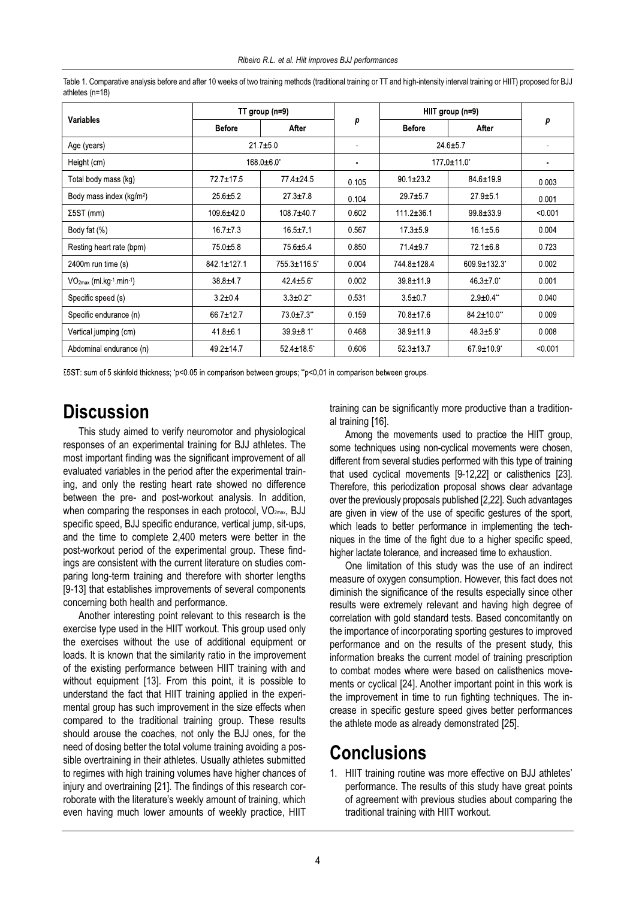| <b>Variables</b>                                  | TT group (n=9)              |                             |                | HIIT group (n=9) |                |         |
|---------------------------------------------------|-----------------------------|-----------------------------|----------------|------------------|----------------|---------|
|                                                   | <b>Before</b>               | After                       | р              | <b>Before</b>    | After          | р       |
| Age (years)                                       | 217±50                      |                             | $\blacksquare$ | 24 6±57          |                |         |
| Height (cm)                                       | $168.0\pm 6.0$ <sup>*</sup> |                             | $\blacksquare$ | 177 0±11 0*      |                |         |
| Total body mass (kg)                              | 727±175                     | 774±245                     | 0 1 0 5        | $90.1 \pm 23.2$  | 84 6±19 9      | 0.003   |
| Body mass index (kg/m <sup>2</sup> )              | 256±52                      | $27.3 \pm 7.8$              | 0.104          | $297 + 57$       | 279±51         | 0.001   |
| $\Sigma$ 5ST (mm)                                 | 109 6±42 0                  | 108 7±40 7                  | 0602           | $1112 \pm 361$   | 99 8±33 9      | < 0.001 |
| Body fat $(\%)$                                   | $16.7 \pm 7.3$              | $16.5 \pm 7.1$              | 0.567          | $17.3 + 5.9$     | 16 1±5 6       | 0.004   |
| Resting heart rate (bpm)                          | 75 0±5 8                    | 75 6±5 4                    | 0850           | 714±97           | 72 1±6 8       | 0.723   |
| 2400 $m$ run time $(s)$                           | 842 1±127 1                 | 755 3±116 5°                | 0.004          | 744 8±128 4      | 609 9±132 3*   | 0.002   |
| $VO2max$ (ml kg <sup>-1</sup> min <sup>-1</sup> ) | 38 8 ± 47                   | $424 \pm 56$                | 0.002          | 39 8±11 9        | $46.3 \pm 7.0$ | 0.001   |
| Specific speed (s)                                | $32+04$                     | $3.3 \pm 0.2$ <sup>**</sup> | 0.531          | $35 + 07$        | $29±04$ "      | 0.040   |
| Specific endurance (n)                            | 667±127                     | 73 0±7 3**                  | 0 1 5 9        | 70 8±17 6        | 84 2±10 0"     | 0.009   |
| Vertical jumping (cm)                             | 418±61                      | 39 9±8 1*                   | 0.468          | 38 9±11 9        | $48.3 \pm 5.9$ | 0.008   |
| Abdominal endurance (n)                           | 49 2±14 7                   | $524 \pm 185$               | 0 60 6         | $523 \pm 137$    | 67 9±10 9*     | < 0.001 |

Table 1. Comparative analysis before and after 10 weeks of two training methods (traditional training or TT and high-intensity interval training or HIIT) proposed for BJJ athletes (n=18)

Σ5ST: sum of 5 skinfold thickness; 'p<0.05 in comparison between groups; "p<0.01 in comparison between groups.

# **Discussion**

This study aimed to verify neuromotor and physiological responses of an experimental training for BJJ athletes. The most important finding was the significant improvement of all evaluated variables in the period after the experimental training, and only the resting heart rate showed no difference between the pre- and post-workout analysis. In addition, when comparing the responses in each protocol, VO<sub>2max</sub>, BJJ specific speed, BJJ specific endurance, vertical jump, sit-ups, and the time to complete 2,400 meters were better in the post-workout period of the experimental group. These findings are consistent with the current literature on studies comparing long-term training and therefore with shorter lengths [9-13] that establishes improvements of several components concerning both health and performance.

Another interesting point relevant to this research is the exercise type used in the HIIT workout. This group used only the exercises without the use of additional equipment or loads. It is known that the similarity ratio in the improvement of the existing performance between HIIT training with and without equipment [13]. From this point, it is possible to understand the fact that HIIT training applied in the experimental group has such improvement in the size effects when compared to the traditional training group. These results should arouse the coaches, not only the BJJ ones, for the need of dosing better the total volume training avoiding a possible overtraining in their athletes. Usually athletes submitted to regimes with high training volumes have higher chances of injury and overtraining [21]. The findings of this research corroborate with the literature's weekly amount of training, which even having much lower amounts of weekly practice, HIIT

training can be significantly more productive than a traditional training [16].

Among the movements used to practice the HIIT group, some techniques using non-cyclical movements were chosen, different from several studies performed with this type of training that used cyclical movements [9-12,22] or calisthenics [23]. Therefore, this periodization proposal shows clear advantage over the previously proposals published [2,22]. Such advantages are given in view of the use of specific gestures of the sport, which leads to better performance in implementing the techniques in the time of the fight due to a higher specific speed, higher lactate tolerance, and increased time to exhaustion.

One limitation of this study was the use of an indirect measure of oxygen consumption. However, this fact does not diminish the significance of the results especially since other results were extremely relevant and having high degree of correlation with gold standard tests. Based concomitantly on the importance of incorporating sporting gestures to improved performance and on the results of the present study, this information breaks the current model of training prescription to combat modes where were based on calisthenics movements or cyclical [24]. Another important point in this work is the improvement in time to run fighting techniques. The increase in specific gesture speed gives better performances the athlete mode as already demonstrated [25].

### **Conclusions**

1. HIIT training routine was more effective on BJJ athletes' performance. The results of this study have great points of agreement with previous studies about comparing the traditional training with HIIT workout.